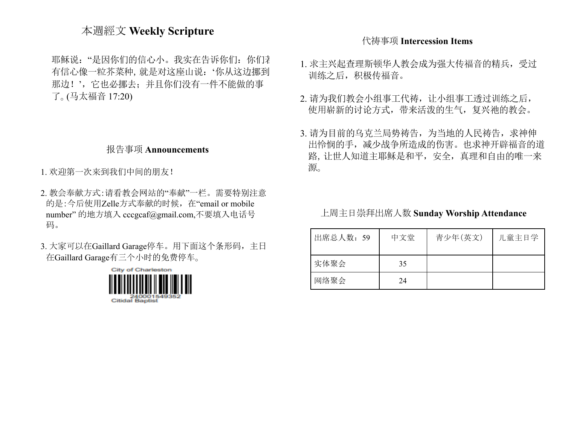## 本週經文 **Weekly Scripture**

耶稣说: "是因你们的信心小。我实在告诉你们: 你们才 有信心像一粒芥菜种,就是对这座山说:'你从这边挪到 那边!',它也必挪去;并且你们没有一件不能做的事 了。(马太福音 17:20)

#### 报告事项 **Announcements**

1. 欢迎第一次来到我们中间的朋友!

- 2. 教会奉献方式:请看教会网站的"奉献"一栏。需要特别注意 的是:今后使用Zelle方式奉献的时候,在"email or mobile number" 的地方填入 [cccgcaf@gmail.com](mailto:cccgcaf@gmail.com),不要填入电话号 码。
- 3. 大家可以在Gaillard Garage停车。用下面这个条形码,主日 在Gaillard Garage有三个小时的免费停车。



### 代祷事项 **Intercession Items**

- 1. 求主兴起查理斯顿华人教会成为强大传福音的精兵,受过 训练之后,积极传福音。
- 2. 请为我们教会小组事工代祷,让小组事工透过训练之后, 使用崭新的讨论方式,带来活泼的生气,复兴祂的教会。
- 3. 请为目前的乌克兰局势祷告,为当地的人民祷告,求神伸 出怜悯的手,减少战争所造成的伤害。也求神开辟福音的道 路,让世人知道主耶稣是和平,安全,真理和自由的唯一来 源。

上周主日崇拜出席人数 **Sunday Worship Attendance**

| 出席总人数: 59 | 中文堂 | 青少年(英文) | 儿童主日学 |
|-----------|-----|---------|-------|
| 实体聚会      | 35  |         |       |
| 网络聚会      | 24  |         |       |